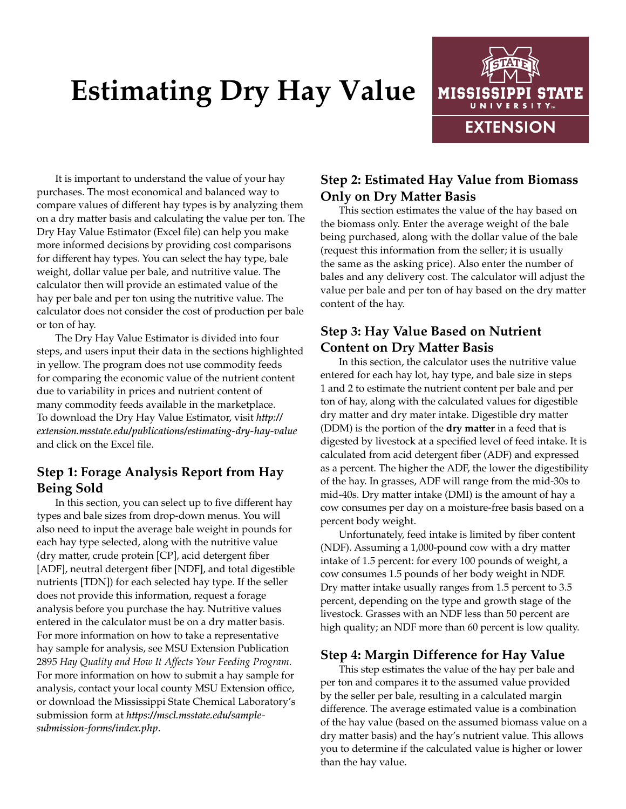# **Estimating Dry Hay Value**



It is important to understand the value of your hay purchases. The most economical and balanced way to compare values of different hay types is by analyzing them on a dry matter basis and calculating the value per ton. The Dry Hay Value Estimator (Excel file) can help you make more informed decisions by providing cost comparisons for different hay types. You can select the hay type, bale weight, dollar value per bale, and nutritive value. The calculator then will provide an estimated value of the hay per bale and per ton using the nutritive value. The calculator does not consider the cost of production per bale or ton of hay.

The Dry Hay Value Estimator is divided into four steps, and users input their data in the sections highlighted in yellow. The program does not use commodity feeds for comparing the economic value of the nutrient content due to variability in prices and nutrient content of many commodity feeds available in the marketplace. To download the Dry Hay Value Estimator, visit *[http://](http://extension.msstate.edu/publications/estimating-dry-hay-value) [extension.msstate.edu/publications/estimating-dry-hay-value](http://extension.msstate.edu/publications/estimating-dry-hay-value)* and click on the Excel file.

## **Step 1: Forage Analysis Report from Hay Being Sold**

In this section, you can select up to five different hay types and bale sizes from drop-down menus. You will also need to input the average bale weight in pounds for each hay type selected, along with the nutritive value (dry matter, crude protein [CP], acid detergent fiber [ADF], neutral detergent fiber [NDF], and total digestible nutrients [TDN]) for each selected hay type. If the seller does not provide this information, request a forage analysis before you purchase the hay. Nutritive values entered in the calculator must be on a dry matter basis. For more information on how to take a representative hay sample for analysis, see [MSU Extension Publication](http://extension.msstate.edu/publications/hay-quality-and-how-it-affects-your-feeding-program)  2895 *[Hay Quality and How It Affects Your Feeding Program](http://extension.msstate.edu/publications/hay-quality-and-how-it-affects-your-feeding-program)*. For more information on how to submit a hay sample for analysis, contact your local county MSU Extension office, or download the Mississippi State Chemical Laboratory's submission form at *https://mscl.msstate.edu/samplesubmission-forms/index.php*.

# **Step 2: Estimated Hay Value from Biomass Only on Dry Matter Basis**

This section estimates the value of the hay based on the biomass only. Enter the average weight of the bale being purchased, along with the dollar value of the bale (request this information from the seller; it is usually the same as the asking price). Also enter the number of bales and any delivery cost. The calculator will adjust the value per bale and per ton of hay based on the dry matter content of the hay.

## **Step 3: Hay Value Based on Nutrient Content on Dry Matter Basis**

In this section, the calculator uses the nutritive value entered for each hay lot, hay type, and bale size in steps 1 and 2 to estimate the nutrient content per bale and per ton of hay, along with the calculated values for digestible dry matter and dry mater intake. Digestible dry matter (DDM) is the portion of the **dry matter** in a feed that is digested by livestock at a specified level of feed intake. It is calculated from acid detergent fiber (ADF) and expressed as a percent. The higher the ADF, the lower the digestibility of the hay. In grasses, ADF will range from the mid-30s to mid-40s. Dry matter intake (DMI) is the amount of hay a cow consumes per day on a moisture-free basis based on a percent body weight.

Unfortunately, feed intake is limited by fiber content (NDF). Assuming a 1,000-pound cow with a dry matter intake of 1.5 percent: for every 100 pounds of weight, a cow consumes 1.5 pounds of her body weight in NDF. Dry matter intake usually ranges from 1.5 percent to 3.5 percent, depending on the type and growth stage of the livestock. Grasses with an NDF less than 50 percent are high quality; an NDF more than 60 percent is low quality.

#### **Step 4: Margin Difference for Hay Value**

This step estimates the value of the hay per bale and per ton and compares it to the assumed value provided by the seller per bale, resulting in a calculated margin difference. The average estimated value is a combination of the hay value (based on the assumed biomass value on a dry matter basis) and the hay's nutrient value. This allows you to determine if the calculated value is higher or lower than the hay value.